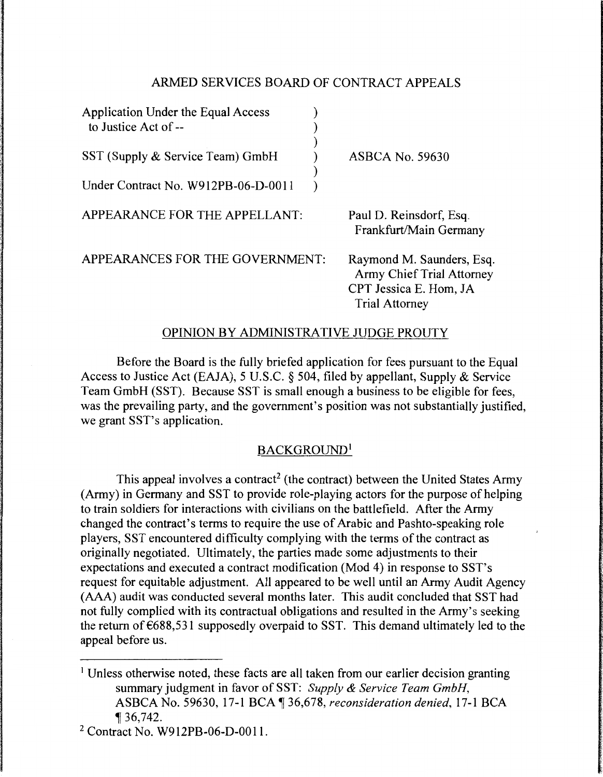## ARMED SERVICES BOARD OF CONTRACT APPEALS

| Application Under the Equal Access<br>to Justice Act of -- |                                                                                                                  |
|------------------------------------------------------------|------------------------------------------------------------------------------------------------------------------|
| SST (Supply & Service Team) GmbH                           | <b>ASBCA No. 59630</b>                                                                                           |
| Under Contract No. W912PB-06-D-0011                        |                                                                                                                  |
| APPEARANCE FOR THE APPELLANT:                              | Paul D. Reinsdorf, Esq.<br>Frankfurt/Main Germany                                                                |
| APPEARANCES FOR THE GOVERNMENT:                            | Raymond M. Saunders, Esq.<br><b>Army Chief Trial Attorney</b><br>CPT Jessica E. Hom, JA<br><b>Trial Attorney</b> |

#### OPINION BY ADMINISTRATIVE JUDGE PROUTY

Before the Board is the fully briefed application for fees pursuant to the Equal Access to Justice Act (EAJA), 5 U.S.C. § 504, filed by appellant, Supply & Service Team GmbH (SST). Because SST is small enough a business to be eligible for fees, was the prevailing party, and the government's position was not substantially justified, we grant SST's application.

## BACKGROUND<sup>1</sup>

This appeal involves a contract<sup>2</sup> (the contract) between the United States Army (Army) in Germany and SST to provide role-playing actors for the purpose of helping to train soldiers for interactions with civilians on the battlefield. After the Army changed the contract's terms to require the use of Arabic and Pashto-speaking role players, SST encountered difficulty complying with the terms of the contract as originally negotiated. Ultimately, the parties made some adjustments to their expectations and executed a contract modification (Mod 4) in response to SST's request for equitable adjustment. All appeared to be well until an Army Audit Agency (AAA) audit was conducted several months later. This audit concluded that SST had not fully complied with its contractual obligations and resulted in the Army's seeking the return of €688,531 supposedly overpaid to SST. This demand ultimately led to the appeal before us.

<sup>1</sup> Unless otherwise noted, these facts are all taken from our earlier decision granting summary judgment in favor of SST: *Supply* & *Service Team GmbH,*  ASBCA No. 59630, 17-1BCA~36,678, *reconsideration denied,* 17-1 BCA <sup>~</sup>36,742.

2 Contract No. W912PB-06-D-0011.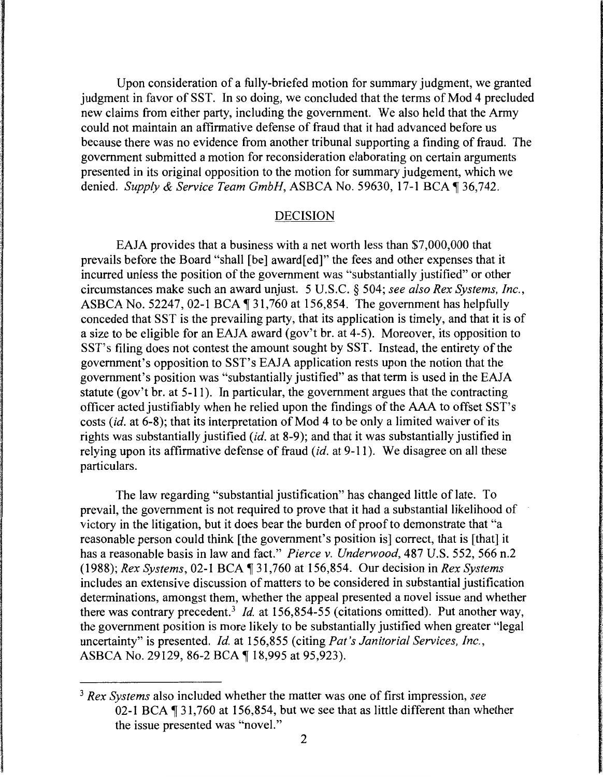Upon consideration of a fully-briefed motion for summary judgment, we granted judgment in favor of SST. In so doing, we concluded that the terms of Mod 4 precluded new claims from either party, including the government. We also held that the Army could not maintain an affirmative defense of fraud that it had advanced before us because there was no evidence from another tribunal supporting a finding of fraud. The government submitted a motion for reconsideration elaborating on certain arguments presented in its original opposition to the motion for summary judgement, which we denied. *Supply & Service Team GmbH*, ASBCA No. 59630, 17-1 BCA ¶ 36,742.

#### DECISION

EAJA provides that a business with a net worth less than \$7,000,000 that prevails before the Board "shall [be] award[ ed]" the fees and other expenses that it incurred unless the position of the government was "substantially justified" or other circumstances make such an award unjust. 5 U.S.C. § 504; *see also Rex Systems, Inc.,*  ASBCA No. 52247, 02-1 BCA  $\P$ 31,760 at 156,854. The government has helpfully conceded that SST is the prevailing party, that its application is timely, and that it is of a size to be eligible for an EAJA award (gov't br. at 4-5). Moreover, its opposition to SST's filing does not contest the amount sought by SST. Instead, the entirety of the government's opposition to SST's EAJA application rests upon the notion that the government's position was "substantially justified" as that term is used in the EAJA statute (gov't br. at 5-11 ). In particular, the government argues that the contracting officer acted justifiably when he relied upon the findings of the AAA to offset SST's costs *(id.* at 6-8); that its interpretation of Mod 4 to be only a limited waiver of its rights was substantially justified *(id.* at 8-9); and that it was substantially justified in relying upon its affirmative defense of fraud *(id.* at 9-11 ). We disagree on all these particulars.

The law regarding "substantial justification" has changed little of late. To prevail, the government is not required to prove that it had a substantial likelihood of victory in the litigation, but it does bear the burden of proof to demonstrate that "a reasonable person could think [the government's position is] correct, that is [that] it has a reasonable basis in law and fact." *Pierce v. Underwood,* 487 U.S. 552, 566 n.2 (1988); *Rex Systems*, 02-1 BCA  $\parallel$  31,760 at 156,854. Our decision in *Rex Systems* includes an extensive discussion of matters to be considered in substantial justification determinations, amongst them, whether the appeal presented a novel issue and whether there was contrary precedent.<sup>3</sup> Id. at 156,854-55 (citations omitted). Put another way, the government position is more likely to be substantially justified when greater "legal uncertainty" is presented. *Id.* at 156,855 (citing *Pat's Janitorial Services, Inc.,*  ASBCA No. 29129, 86-2 BCA | 18,995 at 95,923).

<sup>3</sup>*Rex Systems* also included whether the matter was one of first impression, *see*  02-1 BCA  $\P$  31,760 at 156,854, but we see that as little different than whether the issue presented was "novel."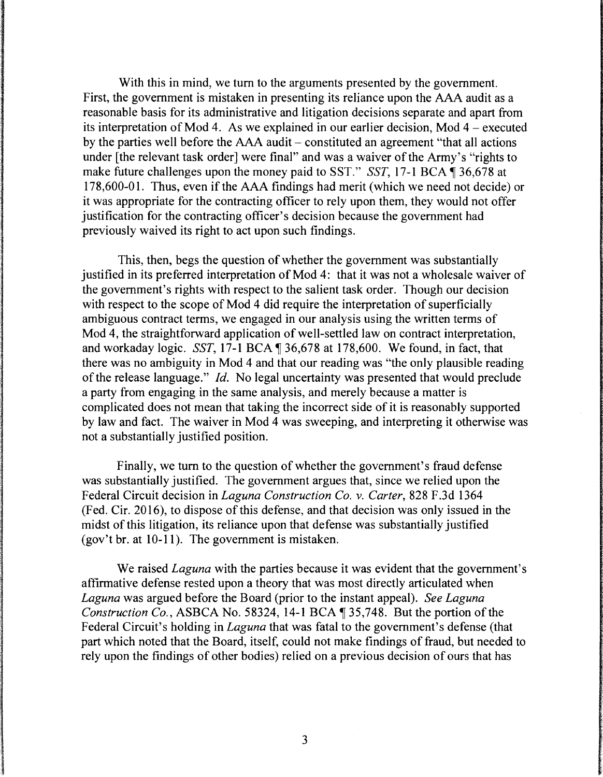With this in mind, we tum to the arguments presented by the government. First, the government is mistaken in presenting its reliance upon the AAA audit as a reasonable basis for its administrative and litigation decisions separate and apart from its interpretation of Mod 4. As we explained in our earlier decision, Mod 4 - executed by the parties well before the AAA audit - constituted an agreement "that all actions under [the relevant task order] were final" and was a waiver of the Army's "rights to make future challenges upon the money paid to SST." *SST*, 17-1 BCA 1 36,678 at 178,600-01. Thus, even if the AAA findings had merit (which we need not decide) or it was appropriate for the contracting officer to rely upon them, they would not offer justification for the contracting officer's decision because the government had previously waived its right to act upon such findings.

This, then, begs the question of whether the government was substantially justified in its preferred interpretation of Mod 4: that it was not a wholesale waiver of the government's rights with respect to the salient task order. Though our decision with respect to the scope of Mod 4 did require the interpretation of superficially ambiguous contract terms, we engaged in our analysis using the written terms of Mod 4, the straightforward application of well-settled law on contract interpretation, and workaday logic. *SST*, 17-1 BCA  $\P$  36,678 at 178,600. We found, in fact, that there was no ambiguity in Mod 4 and that our reading was "the only plausible reading of the release language." *Id.* No legal uncertainty was presented that would preclude a party from engaging in the same analysis, and merely because a matter is complicated does not mean that taking the incorrect side of it is reasonably supported by law and fact. The waiver in Mod 4 was sweeping, and interpreting it otherwise was not a substantially justified position.

Finally, we tum to the question of whether the government's fraud defense was substantially justified. The government argues that, since we relied upon the Federal Circuit decision in *Laguna Construction Co. v. Carter,* 828 F.3d 1364 (Fed. Cir. 2016), to dispose of this defense, and that decision was only issued in the midst of this litigation, its reliance upon that defense was substantially justified (gov't br. at 10-11). The government is mistaken.

We raised *Laguna* with the parties because it was evident that the government's affirmative defense rested upon a theory that was most directly articulated when *Laguna* was argued before the Board (prior to the instant appeal). *See Laguna Construction Co., ASBCA No.* 58324, 14-1 BCA  $\parallel$  35,748. But the portion of the Federal Circuit's holding in *Laguna* that was fatal to the government's defense (that part which noted that the Board, itself, could not make findings of fraud, but needed to rely upon the findings of other bodies) relied on a previous decision of ours that has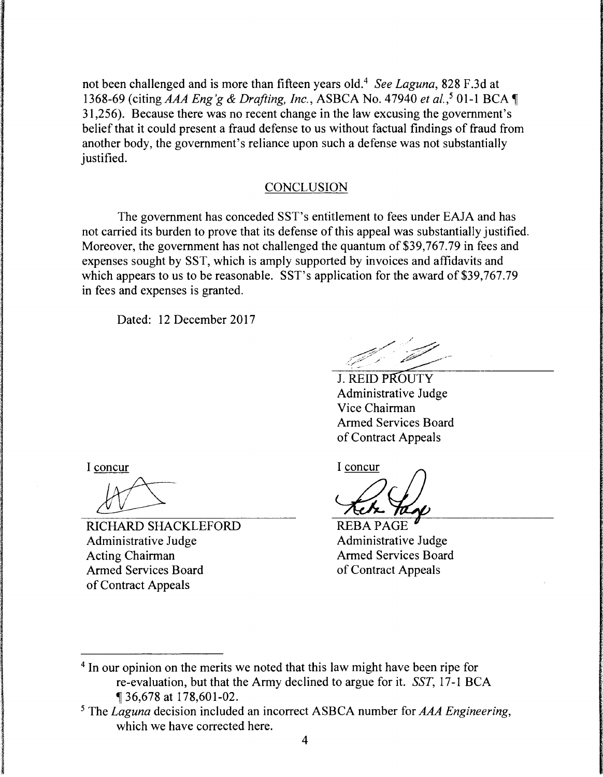not been challenged and is more than fifteen years old.4 *See Laguna,* 828 F.3d at 1368-69 (citing *AAA Eng'g* & *Drafting, Inc.,* ASBCA No. 47940 *et al.,5* 01-1 BCA <sup>~</sup> 31,256). Because there was no recent change in the law excusing the government's belief that it could present a fraud defense to us without factual findings of fraud from another body, the government's reliance upon such a defense was not substantially justified.

# **CONCLUSION**

The government has conceded SST's entitlement to fees under EAJA and has not carried its burden to prove that its defense of this appeal was substantially justified. Moreover, the government has not challenged the quantum of \$39,767.79 in fees and expenses sought by SST, which is amply supported by invoices and affidavits and which appears to us to be reasonable. SST's application for the award of \$39,767.79 in fees and expenses is granted.

Dated: 12 December 2017

**J. REID PROUTY** Administrative Judge Vice Chairman Armed Services Board of Contract Appeals

I concur

RICHARD SHACKLEFORD Administrative Judge Acting Chairman Armed Services Board of Contract Appeals

I concur

REBA PAGE Administrative Judge Armed Services Board of Contract Appeals

<sup>4</sup> In our opinion on the merits we noted that this law might have been ripe for re-evaluation, but that the Army declined to argue for it. *SST,* 17-1 BCA <sup>~</sup>36,678 at 178,601-02.

5 The *Laguna* decision included an incorrect ASBCA number for *AAA Engineering,*  which we have corrected here.